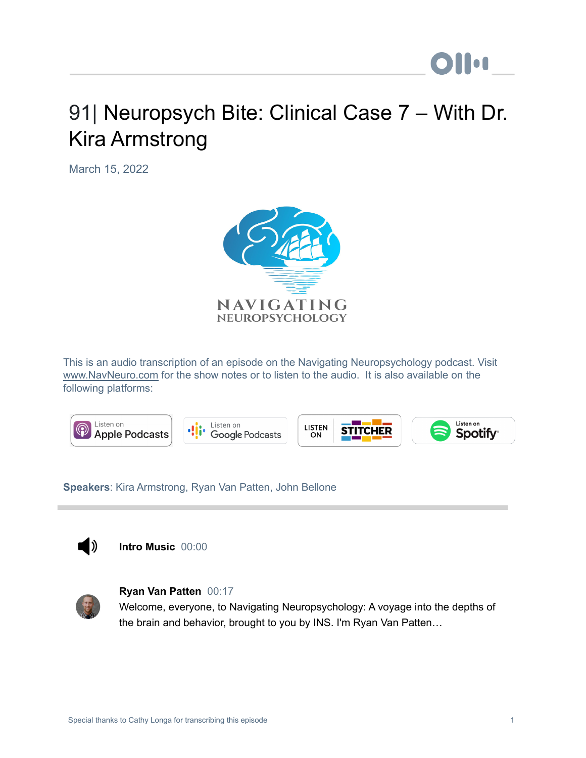# 91| Neuropsych Bite: Clinical Case 7 – With Dr. Kira Armstrong

March 15, 2022



This is an audio transcription of an episode on the Navigating Neuropsychology podcast. Visit [www.NavNeuro.com](http://www.navneuro.com/) for the show notes or to listen to the audio. It is also available on the following platforms:



**Speakers**: Kira Armstrong, Ryan Van Patten, John Bellone



**Intro Music** 00:00



#### **Ryan Van Patten** 00:17

Welcome, everyone, to Navigating Neuropsychology: A voyage into the depths of the brain and behavior, brought to you by INS. I'm Ryan Van Patten…

**Ollu**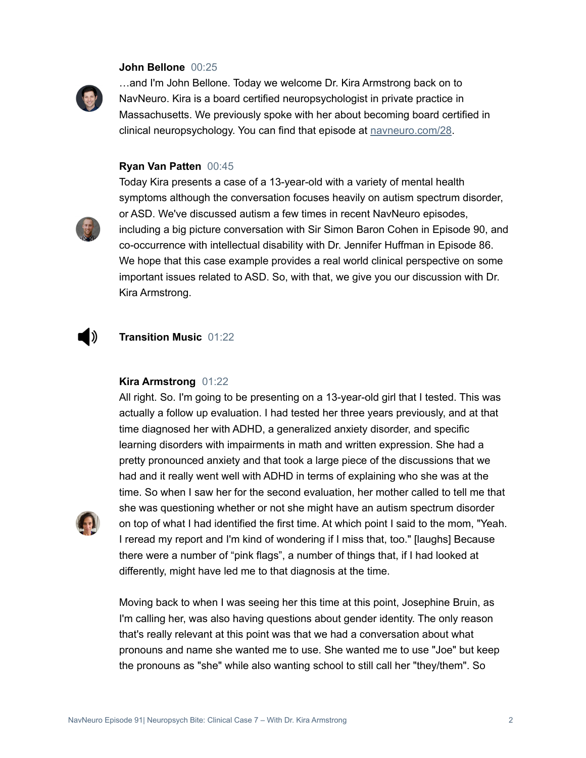#### **John Bellone** 00:25



…and I'm John Bellone. Today we welcome Dr. Kira Armstrong back on to NavNeuro. Kira is a board certified neuropsychologist in private practice in Massachusetts. We previously spoke with her about becoming board certified in clinical neuropsychology. You can find that episode at [navneuro.com/28](http://navneuro.com/28).

#### **Ryan Van Patten** 00:45



Today Kira presents a case of a 13-year-old with a variety of mental health symptoms although the conversation focuses heavily on autism spectrum disorder, or ASD. We've discussed autism a few times in recent NavNeuro episodes, including a big picture conversation with Sir Simon Baron Cohen in Episode 90, and co-occurrence with intellectual disability with Dr. Jennifer Huffman in Episode 86. We hope that this case example provides a real world clinical perspective on some important issues related to ASD. So, with that, we give you our discussion with Dr. Kira Armstrong.

#### D) **Transition Music** 01:22

#### **Kira Armstrong** 01:22

All right. So. I'm going to be presenting on a 13-year-old girl that I tested. This was actually a follow up evaluation. I had tested her three years previously, and at that time diagnosed her with ADHD, a generalized anxiety disorder, and specific learning disorders with impairments in math and written expression. She had a pretty pronounced anxiety and that took a large piece of the discussions that we had and it really went well with ADHD in terms of explaining who she was at the time. So when I saw her for the second evaluation, her mother called to tell me that she was questioning whether or not she might have an autism spectrum disorder on top of what I had identified the first time. At which point I said to the mom, "Yeah. I reread my report and I'm kind of wondering if I miss that, too." [laughs] Because there were a number of "pink flags", a number of things that, if I had looked at differently, might have led me to that diagnosis at the time.

Moving back to when I was seeing her this time at this point, Josephine Bruin, as I'm calling her, was also having questions about gender identity. The only reason that's really relevant at this point was that we had a conversation about what pronouns and name she wanted me to use. She wanted me to use "Joe" but keep the pronouns as "she" while also wanting school to still call her "they/them". So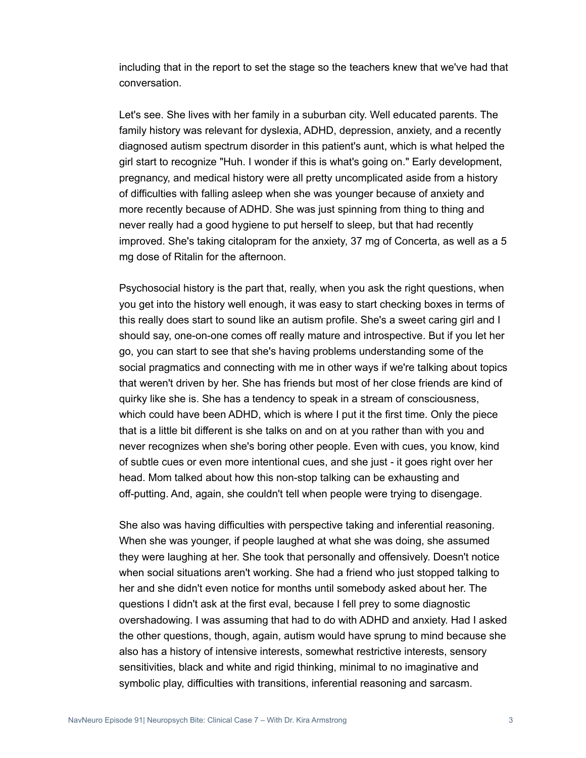including that in the report to set the stage so the teachers knew that we've had that conversation.

Let's see. She lives with her family in a suburban city. Well educated parents. The family history was relevant for dyslexia, ADHD, depression, anxiety, and a recently diagnosed autism spectrum disorder in this patient's aunt, which is what helped the girl start to recognize "Huh. I wonder if this is what's going on." Early development, pregnancy, and medical history were all pretty uncomplicated aside from a history of difficulties with falling asleep when she was younger because of anxiety and more recently because of ADHD. She was just spinning from thing to thing and never really had a good hygiene to put herself to sleep, but that had recently improved. She's taking citalopram for the anxiety, 37 mg of Concerta, as well as a 5 mg dose of Ritalin for the afternoon.

Psychosocial history is the part that, really, when you ask the right questions, when you get into the history well enough, it was easy to start checking boxes in terms of this really does start to sound like an autism profile. She's a sweet caring girl and I should say, one-on-one comes off really mature and introspective. But if you let her go, you can start to see that she's having problems understanding some of the social pragmatics and connecting with me in other ways if we're talking about topics that weren't driven by her. She has friends but most of her close friends are kind of quirky like she is. She has a tendency to speak in a stream of consciousness, which could have been ADHD, which is where I put it the first time. Only the piece that is a little bit different is she talks on and on at you rather than with you and never recognizes when she's boring other people. Even with cues, you know, kind of subtle cues or even more intentional cues, and she just - it goes right over her head. Mom talked about how this non-stop talking can be exhausting and off-putting. And, again, she couldn't tell when people were trying to disengage.

She also was having difficulties with perspective taking and inferential reasoning. When she was younger, if people laughed at what she was doing, she assumed they were laughing at her. She took that personally and offensively. Doesn't notice when social situations aren't working. She had a friend who just stopped talking to her and she didn't even notice for months until somebody asked about her. The questions I didn't ask at the first eval, because I fell prey to some diagnostic overshadowing. I was assuming that had to do with ADHD and anxiety. Had I asked the other questions, though, again, autism would have sprung to mind because she also has a history of intensive interests, somewhat restrictive interests, sensory sensitivities, black and white and rigid thinking, minimal to no imaginative and symbolic play, difficulties with transitions, inferential reasoning and sarcasm.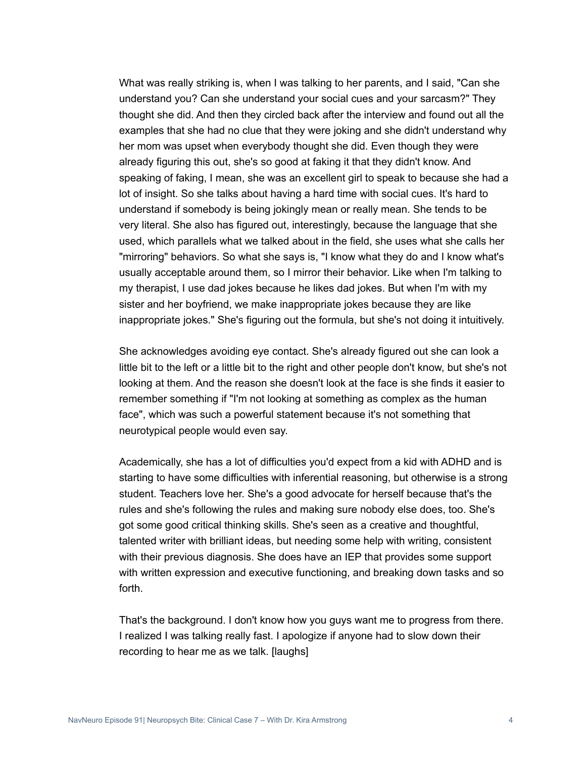What was really striking is, when I was talking to her parents, and I said, "Can she understand you? Can she understand your social cues and your sarcasm?" They thought she did. And then they circled back after the interview and found out all the examples that she had no clue that they were joking and she didn't understand why her mom was upset when everybody thought she did. Even though they were already figuring this out, she's so good at faking it that they didn't know. And speaking of faking, I mean, she was an excellent girl to speak to because she had a lot of insight. So she talks about having a hard time with social cues. It's hard to understand if somebody is being jokingly mean or really mean. She tends to be very literal. She also has figured out, interestingly, because the language that she used, which parallels what we talked about in the field, she uses what she calls her "mirroring" behaviors. So what she says is, "I know what they do and I know what's usually acceptable around them, so I mirror their behavior. Like when I'm talking to my therapist, I use dad jokes because he likes dad jokes. But when I'm with my sister and her boyfriend, we make inappropriate jokes because they are like inappropriate jokes." She's figuring out the formula, but she's not doing it intuitively.

She acknowledges avoiding eye contact. She's already figured out she can look a little bit to the left or a little bit to the right and other people don't know, but she's not looking at them. And the reason she doesn't look at the face is she finds it easier to remember something if "I'm not looking at something as complex as the human face", which was such a powerful statement because it's not something that neurotypical people would even say.

Academically, she has a lot of difficulties you'd expect from a kid with ADHD and is starting to have some difficulties with inferential reasoning, but otherwise is a strong student. Teachers love her. She's a good advocate for herself because that's the rules and she's following the rules and making sure nobody else does, too. She's got some good critical thinking skills. She's seen as a creative and thoughtful, talented writer with brilliant ideas, but needing some help with writing, consistent with their previous diagnosis. She does have an IEP that provides some support with written expression and executive functioning, and breaking down tasks and so forth.

That's the background. I don't know how you guys want me to progress from there. I realized I was talking really fast. I apologize if anyone had to slow down their recording to hear me as we talk. [laughs]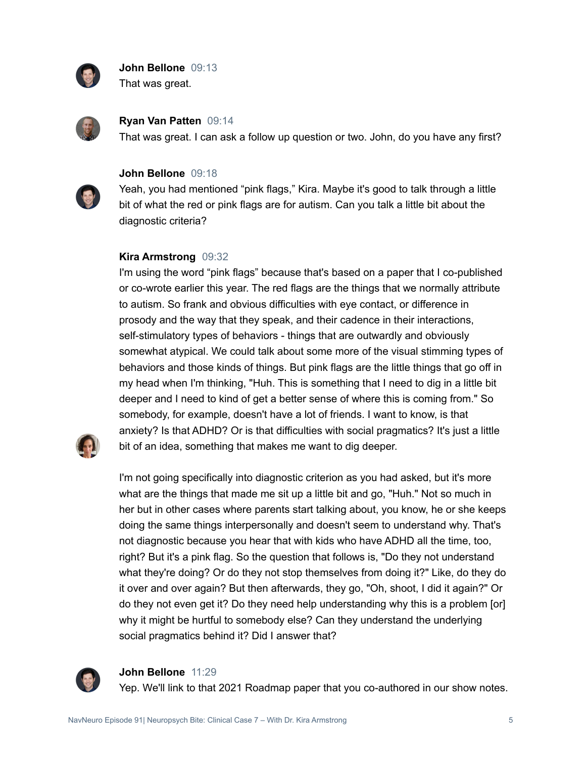

**John Bellone** 09:13 That was great.



**Ryan Van Patten** 09:14

That was great. I can ask a follow up question or two. John, do you have any first?



#### **John Bellone** 09:18

Yeah, you had mentioned "pink flags," Kira. Maybe it's good to talk through a little bit of what the red or pink flags are for autism. Can you talk a little bit about the diagnostic criteria?

#### **Kira Armstrong** 09:32

I'm using the word "pink flags" because that's based on a paper that I co-published or co-wrote earlier this year. The red flags are the things that we normally attribute to autism. So frank and obvious difficulties with eye contact, or difference in prosody and the way that they speak, and their cadence in their interactions, self-stimulatory types of behaviors - things that are outwardly and obviously somewhat atypical. We could talk about some more of the visual stimming types of behaviors and those kinds of things. But pink flags are the little things that go off in my head when I'm thinking, "Huh. This is something that I need to dig in a little bit deeper and I need to kind of get a better sense of where this is coming from." So somebody, for example, doesn't have a lot of friends. I want to know, is that anxiety? Is that ADHD? Or is that difficulties with social pragmatics? It's just a little bit of an idea, something that makes me want to dig deeper.



I'm not going specifically into diagnostic criterion as you had asked, but it's more what are the things that made me sit up a little bit and go, "Huh." Not so much in her but in other cases where parents start talking about, you know, he or she keeps doing the same things interpersonally and doesn't seem to understand why. That's not diagnostic because you hear that with kids who have ADHD all the time, too, right? But it's a pink flag. So the question that follows is, "Do they not understand what they're doing? Or do they not stop themselves from doing it?" Like, do they do it over and over again? But then afterwards, they go, "Oh, shoot, I did it again?" Or do they not even get it? Do they need help understanding why this is a problem [or] why it might be hurtful to somebody else? Can they understand the underlying social pragmatics behind it? Did I answer that?



#### **John Bellone** 11:29

Yep. We'll link to that 2021 Roadmap paper that you co-authored in our show notes.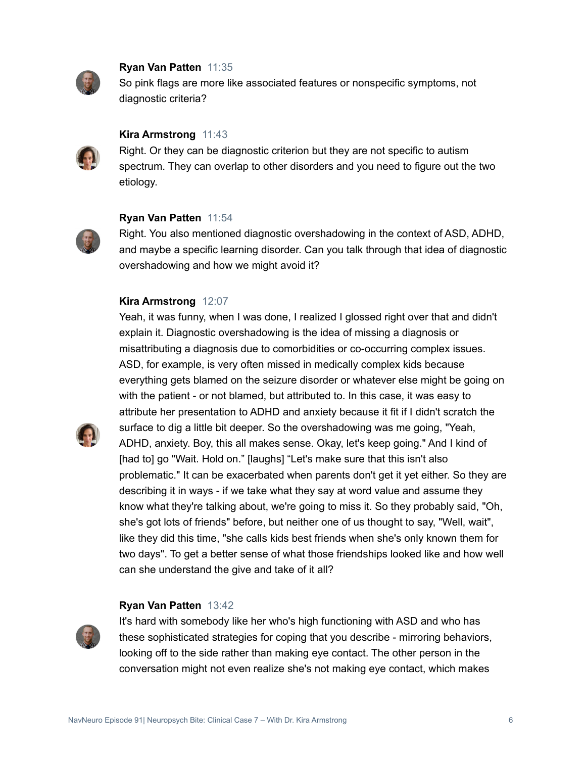

#### **Ryan Van Patten** 11:35

So pink flags are more like associated features or nonspecific symptoms, not diagnostic criteria?



#### **Kira Armstrong** 11:43

Right. Or they can be diagnostic criterion but they are not specific to autism spectrum. They can overlap to other disorders and you need to figure out the two etiology.

#### **Ryan Van Patten** 11:54



Right. You also mentioned diagnostic overshadowing in the context of ASD, ADHD, and maybe a specific learning disorder. Can you talk through that idea of diagnostic overshadowing and how we might avoid it?

#### **Kira Armstrong** 12:07

Yeah, it was funny, when I was done, I realized I glossed right over that and didn't explain it. Diagnostic overshadowing is the idea of missing a diagnosis or misattributing a diagnosis due to comorbidities or co-occurring complex issues. ASD, for example, is very often missed in medically complex kids because everything gets blamed on the seizure disorder or whatever else might be going on with the patient - or not blamed, but attributed to. In this case, it was easy to attribute her presentation to ADHD and anxiety because it fit if I didn't scratch the surface to dig a little bit deeper. So the overshadowing was me going, "Yeah, ADHD, anxiety. Boy, this all makes sense. Okay, let's keep going." And I kind of [had to] go "Wait. Hold on." [laughs] "Let's make sure that this isn't also problematic." It can be exacerbated when parents don't get it yet either. So they are describing it in ways - if we take what they say at word value and assume they know what they're talking about, we're going to miss it. So they probably said, "Oh, she's got lots of friends" before, but neither one of us thought to say, "Well, wait", like they did this time, "she calls kids best friends when she's only known them for two days". To get a better sense of what those friendships looked like and how well can she understand the give and take of it all?

#### **Ryan Van Patten** 13:42



It's hard with somebody like her who's high functioning with ASD and who has these sophisticated strategies for coping that you describe - mirroring behaviors, looking off to the side rather than making eye contact. The other person in the conversation might not even realize she's not making eye contact, which makes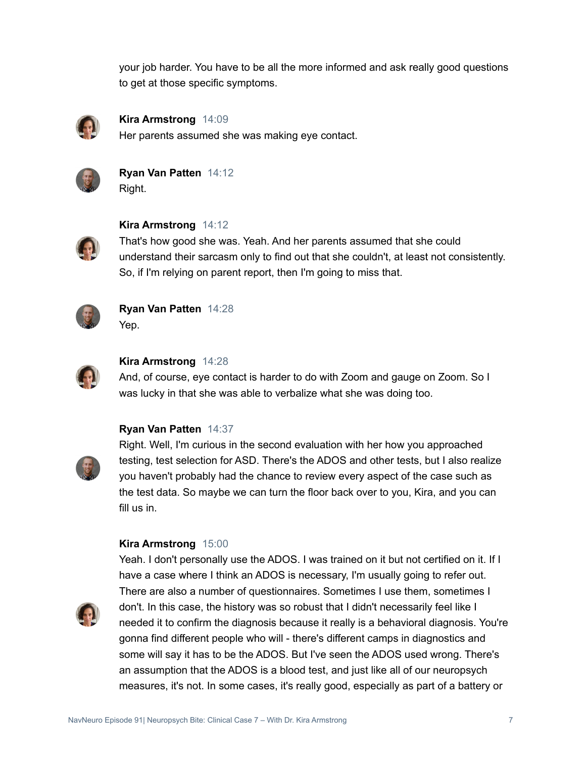your job harder. You have to be all the more informed and ask really good questions to get at those specific symptoms.



**Kira Armstrong** 14:09 Her parents assumed she was making eye contact.



**Ryan Van Patten** 14:12 Right.



**Kira Armstrong** 14:12

That's how good she was. Yeah. And her parents assumed that she could understand their sarcasm only to find out that she couldn't, at least not consistently. So, if I'm relying on parent report, then I'm going to miss that.



**Ryan Van Patten** 14:28 Yep.



#### **Kira Armstrong** 14:28

And, of course, eye contact is harder to do with Zoom and gauge on Zoom. So I was lucky in that she was able to verbalize what she was doing too.

#### **Ryan Van Patten** 14:37



Right. Well, I'm curious in the second evaluation with her how you approached testing, test selection for ASD. There's the ADOS and other tests, but I also realize you haven't probably had the chance to review every aspect of the case such as the test data. So maybe we can turn the floor back over to you, Kira, and you can fill us in.

#### **Kira Armstrong** 15:00

Yeah. I don't personally use the ADOS. I was trained on it but not certified on it. If I have a case where I think an ADOS is necessary, I'm usually going to refer out. There are also a number of questionnaires. Sometimes I use them, sometimes I don't. In this case, the history was so robust that I didn't necessarily feel like I needed it to confirm the diagnosis because it really is a behavioral diagnosis. You're gonna find different people who will - there's different camps in diagnostics and some will say it has to be the ADOS. But I've seen the ADOS used wrong. There's an assumption that the ADOS is a blood test, and just like all of our neuropsych measures, it's not. In some cases, it's really good, especially as part of a battery or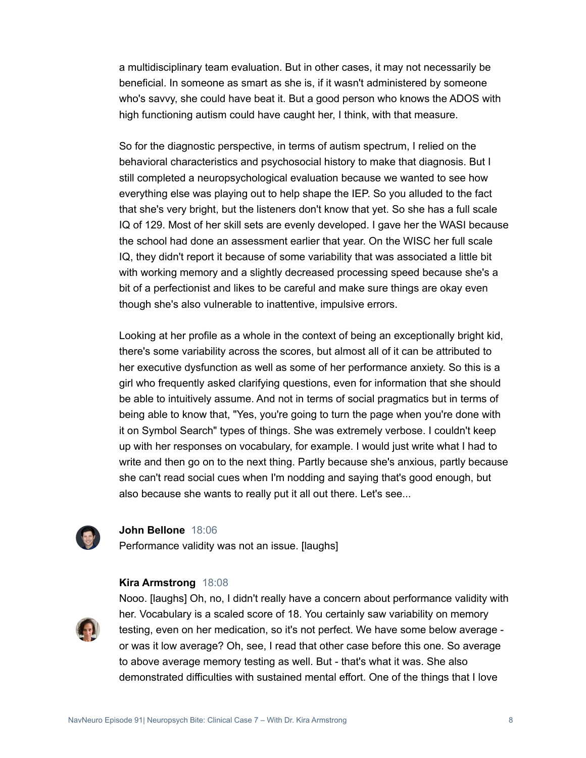a multidisciplinary team evaluation. But in other cases, it may not necessarily be beneficial. In someone as smart as she is, if it wasn't administered by someone who's savvy, she could have beat it. But a good person who knows the ADOS with high functioning autism could have caught her, I think, with that measure.

So for the diagnostic perspective, in terms of autism spectrum, I relied on the behavioral characteristics and psychosocial history to make that diagnosis. But I still completed a neuropsychological evaluation because we wanted to see how everything else was playing out to help shape the IEP. So you alluded to the fact that she's very bright, but the listeners don't know that yet. So she has a full scale IQ of 129. Most of her skill sets are evenly developed. I gave her the WASI because the school had done an assessment earlier that year. On the WISC her full scale IQ, they didn't report it because of some variability that was associated a little bit with working memory and a slightly decreased processing speed because she's a bit of a perfectionist and likes to be careful and make sure things are okay even though she's also vulnerable to inattentive, impulsive errors.

Looking at her profile as a whole in the context of being an exceptionally bright kid, there's some variability across the scores, but almost all of it can be attributed to her executive dysfunction as well as some of her performance anxiety. So this is a girl who frequently asked clarifying questions, even for information that she should be able to intuitively assume. And not in terms of social pragmatics but in terms of being able to know that, "Yes, you're going to turn the page when you're done with it on Symbol Search" types of things. She was extremely verbose. I couldn't keep up with her responses on vocabulary, for example. I would just write what I had to write and then go on to the next thing. Partly because she's anxious, partly because she can't read social cues when I'm nodding and saying that's good enough, but also because she wants to really put it all out there. Let's see...



#### **John Bellone** 18:06

Performance validity was not an issue. [laughs]

#### **Kira Armstrong** 18:08



Nooo. [laughs] Oh, no, I didn't really have a concern about performance validity with her. Vocabulary is a scaled score of 18. You certainly saw variability on memory testing, even on her medication, so it's not perfect. We have some below average or was it low average? Oh, see, I read that other case before this one. So average to above average memory testing as well. But - that's what it was. She also demonstrated difficulties with sustained mental effort. One of the things that I love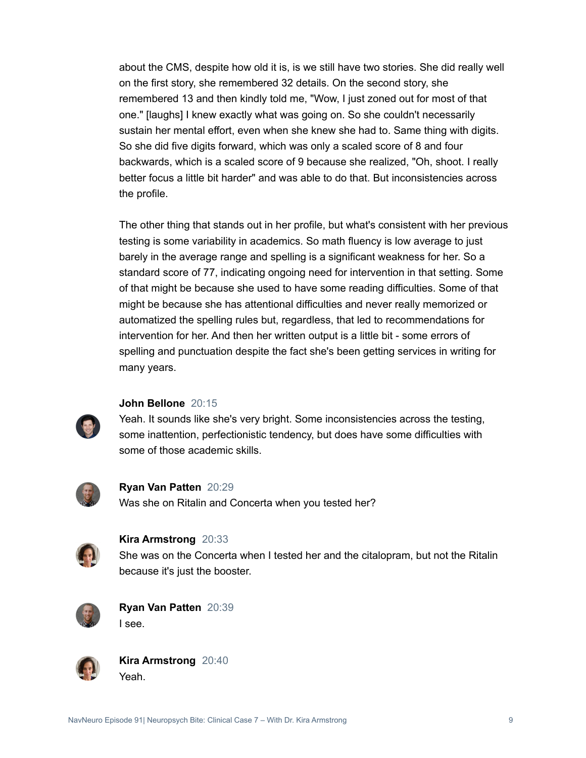about the CMS, despite how old it is, is we still have two stories. She did really well on the first story, she remembered 32 details. On the second story, she remembered 13 and then kindly told me, "Wow, I just zoned out for most of that one." [laughs] I knew exactly what was going on. So she couldn't necessarily sustain her mental effort, even when she knew she had to. Same thing with digits. So she did five digits forward, which was only a scaled score of 8 and four backwards, which is a scaled score of 9 because she realized, "Oh, shoot. I really better focus a little bit harder" and was able to do that. But inconsistencies across the profile.

The other thing that stands out in her profile, but what's consistent with her previous testing is some variability in academics. So math fluency is low average to just barely in the average range and spelling is a significant weakness for her. So a standard score of 77, indicating ongoing need for intervention in that setting. Some of that might be because she used to have some reading difficulties. Some of that might be because she has attentional difficulties and never really memorized or automatized the spelling rules but, regardless, that led to recommendations for intervention for her. And then her written output is a little bit - some errors of spelling and punctuation despite the fact she's been getting services in writing for many years.



#### **John Bellone** 20:15

Yeah. It sounds like she's very bright. Some inconsistencies across the testing, some inattention, perfectionistic tendency, but does have some difficulties with some of those academic skills.



**Ryan Van Patten** 20:29 Was she on Ritalin and Concerta when you tested her?



#### **Kira Armstrong** 20:33

She was on the Concerta when I tested her and the citalopram, but not the Ritalin because it's just the booster.



**Ryan Van Patten** 20:39 I see.



**Kira Armstrong** 20:40 Yeah.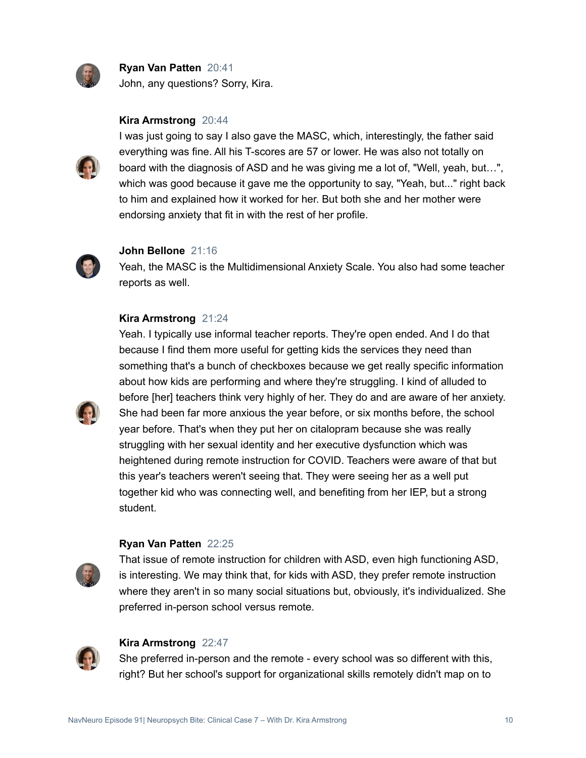

**Ryan Van Patten** 20:41 John, any questions? Sorry, Kira.

#### **Kira Armstrong** 20:44



I was just going to say I also gave the MASC, which, interestingly, the father said everything was fine. All his T-scores are 57 or lower. He was also not totally on board with the diagnosis of ASD and he was giving me a lot of, "Well, yeah, but…", which was good because it gave me the opportunity to say, "Yeah, but..." right back to him and explained how it worked for her. But both she and her mother were endorsing anxiety that fit in with the rest of her profile.



#### **John Bellone** 21:16

Yeah, the MASC is the Multidimensional Anxiety Scale. You also had some teacher reports as well.

#### **Kira Armstrong** 21:24



Yeah. I typically use informal teacher reports. They're open ended. And I do that because I find them more useful for getting kids the services they need than something that's a bunch of checkboxes because we get really specific information about how kids are performing and where they're struggling. I kind of alluded to before [her] teachers think very highly of her. They do and are aware of her anxiety. She had been far more anxious the year before, or six months before, the school year before. That's when they put her on citalopram because she was really struggling with her sexual identity and her executive dysfunction which was heightened during remote instruction for COVID. Teachers were aware of that but this year's teachers weren't seeing that. They were seeing her as a well put together kid who was connecting well, and benefiting from her IEP, but a strong student.

#### **Ryan Van Patten** 22:25

That issue of remote instruction for children with ASD, even high functioning ASD, is interesting. We may think that, for kids with ASD, they prefer remote instruction where they aren't in so many social situations but, obviously, it's individualized. She preferred in-person school versus remote.



#### **Kira Armstrong** 22:47

She preferred in-person and the remote - every school was so different with this, right? But her school's support for organizational skills remotely didn't map on to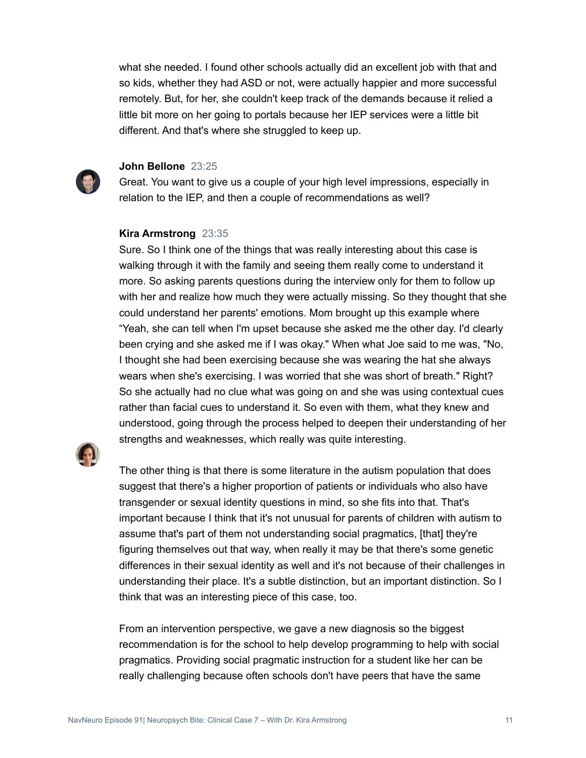what she needed. I found other schools actually did an excellent job with that and so kids, whether they had ASD or not, were actually happier and more successful remotely. But, for her, she couldn't keep track of the demands because it relied a little bit more on her going to portals because her IEP services were a little bit different. And that's where she struggled to keep up.



#### **John Bellone** 23:25

Great. You want to give us a couple of your high level impressions, especially in relation to the IEP, and then a couple of recommendations as well?

#### **Kira Armstrong** 23:35

Sure. So I think one of the things that was really interesting about this case is walking through it with the family and seeing them really come to understand it more. So asking parents questions during the interview only for them to follow up with her and realize how much they were actually missing. So they thought that she could understand her parents' emotions. Mom brought up this example where "Yeah, she can tell when I'm upset because she asked me the other day. I'd clearly been crying and she asked me if I was okay." When what Joe said to me was, "No, I thought she had been exercising because she was wearing the hat she always wears when she's exercising. I was worried that she was short of breath." Right? So she actually had no clue what was going on and she was using contextual cues rather than facial cues to understand it. So even with them, what they knew and understood, going through the process helped to deepen their understanding of her strengths and weaknesses, which really was quite interesting.



The other thing is that there is some literature in the autism population that does suggest that there's a higher proportion of patients or individuals who also have transgender or sexual identity questions in mind, so she fits into that. That's important because I think that it's not unusual for parents of children with autism to assume that's part of them not understanding social pragmatics, [that] they're figuring themselves out that way, when really it may be that there's some genetic differences in their sexual identity as well and it's not because of their challenges in understanding their place. It's a subtle distinction, but an important distinction. So I think that was an interesting piece of this case, too.

From an intervention perspective, we gave a new diagnosis so the biggest recommendation is for the school to help develop programming to help with social pragmatics. Providing social pragmatic instruction for a student like her can be really challenging because often schools don't have peers that have the same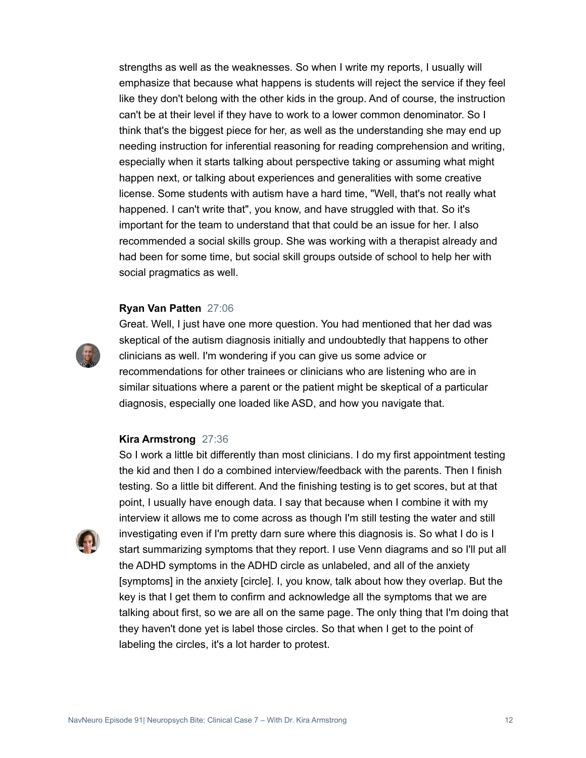strengths as well as the weaknesses. So when I write my reports, I usually will emphasize that because what happens is students will reject the service if they feel like they don't belong with the other kids in the group. And of course, the instruction can't be at their level if they have to work to a lower common denominator. So I think that's the biggest piece for her, as well as the understanding she may end up needing instruction for inferential reasoning for reading comprehension and writing, especially when it starts talking about perspective taking or assuming what might happen next, or talking about experiences and generalities with some creative license. Some students with autism have a hard time, "Well, that's not really what happened. I can't write that", you know, and have struggled with that. So it's important for the team to understand that that could be an issue for her. I also recommended a social skills group. She was working with a therapist already and had been for some time, but social skill groups outside of school to help her with social pragmatics as well.

#### **Ryan Van Patten** 27:06



Great. Well, I just have one more question. You had mentioned that her dad was skeptical of the autism diagnosis initially and undoubtedly that happens to other clinicians as well. I'm wondering if you can give us some advice or recommendations for other trainees or clinicians who are listening who are in similar situations where a parent or the patient might be skeptical of a particular diagnosis, especially one loaded like ASD, and how you navigate that.

#### **Kira Armstrong** 27:36

So I work a little bit differently than most clinicians. I do my first appointment testing the kid and then I do a combined interview/feedback with the parents. Then I finish testing. So a little bit different. And the finishing testing is to get scores, but at that point, I usually have enough data. I say that because when I combine it with my interview it allows me to come across as though I'm still testing the water and still investigating even if I'm pretty darn sure where this diagnosis is. So what I do is I start summarizing symptoms that they report. I use Venn diagrams and so I'll put all the ADHD symptoms in the ADHD circle as unlabeled, and all of the anxiety [symptoms] in the anxiety [circle]. I, you know, talk about how they overlap. But the key is that I get them to confirm and acknowledge all the symptoms that we are talking about first, so we are all on the same page. The only thing that I'm doing that they haven't done yet is label those circles. So that when I get to the point of labeling the circles, it's a lot harder to protest.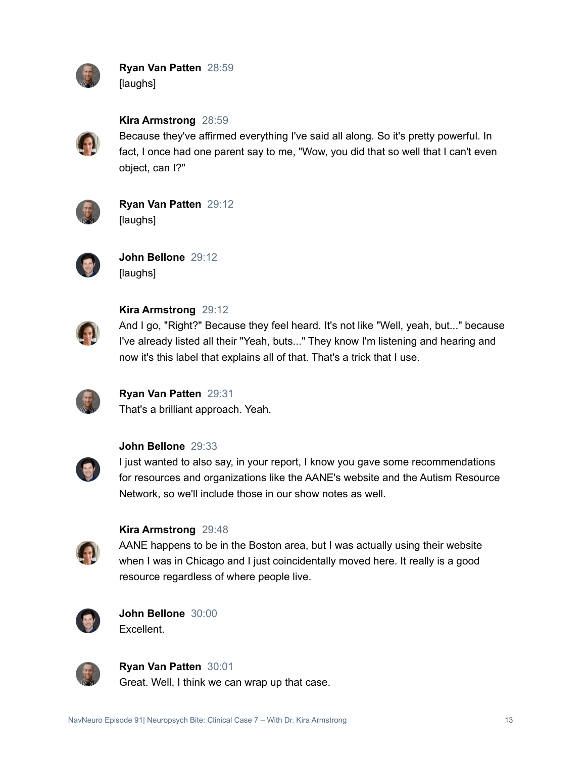

**Ryan Van Patten** 28:59 [laughs]



**Kira Armstrong** 28:59

Because they've affirmed everything I've said all along. So it's pretty powerful. In fact, I once had one parent say to me, "Wow, you did that so well that I can't even object, can I?"



**Ryan Van Patten** 29:12 [laughs]



**John Bellone** 29:12 [laughs]



### **Kira Armstrong** 29:12

And I go, "Right?" Because they feel heard. It's not like "Well, yeah, but..." because I've already listed all their "Yeah, buts..." They know I'm listening and hearing and now it's this label that explains all of that. That's a trick that I use.



## **Ryan Van Patten** 29:31

That's a brilliant approach. Yeah.



#### **John Bellone** 29:33

I just wanted to also say, in your report, I know you gave some recommendations for resources and organizations like the AANE's website and the Autism Resource Network, so we'll include those in our show notes as well.



#### **Kira Armstrong** 29:48

AANE happens to be in the Boston area, but I was actually using their website when I was in Chicago and I just coincidentally moved here. It really is a good resource regardless of where people live.



**John Bellone** 30:00 Excellent.



**Ryan Van Patten** 30:01

Great. Well, I think we can wrap up that case.